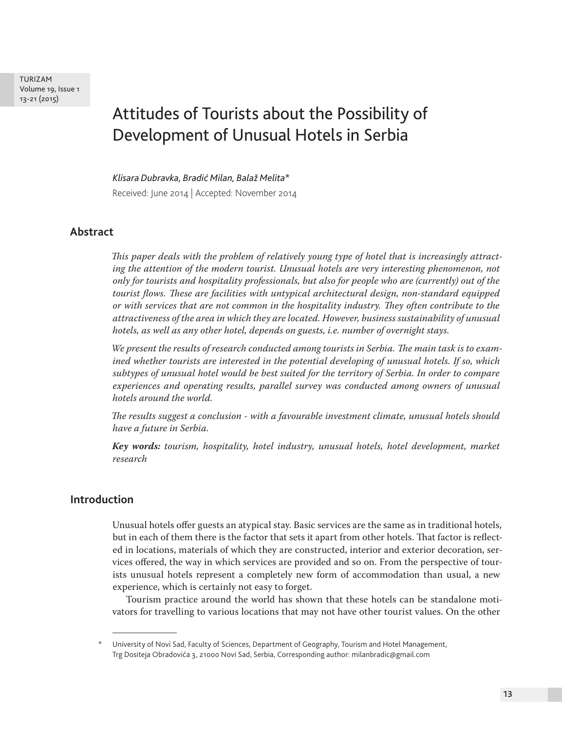TURIZAM Volume 19, Issue 1 13-21 (2015)

# Attitudes of Tourists about the Possibility of Development of Unusual Hotels in Serbia

*Klisara Dubravka, Bradić Milan, Balaž Melita\** Received: June 2014 | Accepted: November 2014

## **Abstract**

*This paper deals with the problem of relatively young type of hotel that is increasingly attracting the attention of the modern tourist. Unusual hotels are very interesting phenomenon, not only for tourists and hospitality professionals, but also for people who are (currently) out of the tourist flows. These are facilities with untypical architectural design, non-standard equipped or with services that are not common in the hospitality industry. They often contribute to the attractiveness of the area in which they are located. However, business sustainability of unusual hotels, as well as any other hotel, depends on guests, i.e. number of overnight stays.*

*We present the results of research conducted among tourists in Serbia. The main task is to examined whether tourists are interested in the potential developing of unusual hotels. If so, which subtypes of unusual hotel would be best suited for the territory of Serbia. In order to compare experiences and operating results, parallel survey was conducted among owners of unusual hotels around the world.*

*The results suggest a conclusion - with a favourable investment climate, unusual hotels should have a future in Serbia.*

*Key words: tourism, hospitality, hotel industry, unusual hotels, hotel development, market research*

## **Introduction**

Unusual hotels offer guests an atypical stay. Basic services are the same as in traditional hotels, but in each of them there is the factor that sets it apart from other hotels. That factor is reflected in locations, materials of which they are constructed, interior and exterior decoration, services offered, the way in which services are provided and so on. From the perspective of tourists unusual hotels represent a completely new form of accommodation than usual, a new experience, which is certainly not easy to forget.

Tourism practice around the world has shown that these hotels can be standalone motivators for travelling to various locations that may not have other tourist values. On the other

University of Novi Sad, Faculty of Sciences, Department of Geography, Tourism and Hotel Management, Trg Dositeja Obradovića 3, 21000 Novi Sad, Serbia, Corresponding author: milanbradic@gmail.com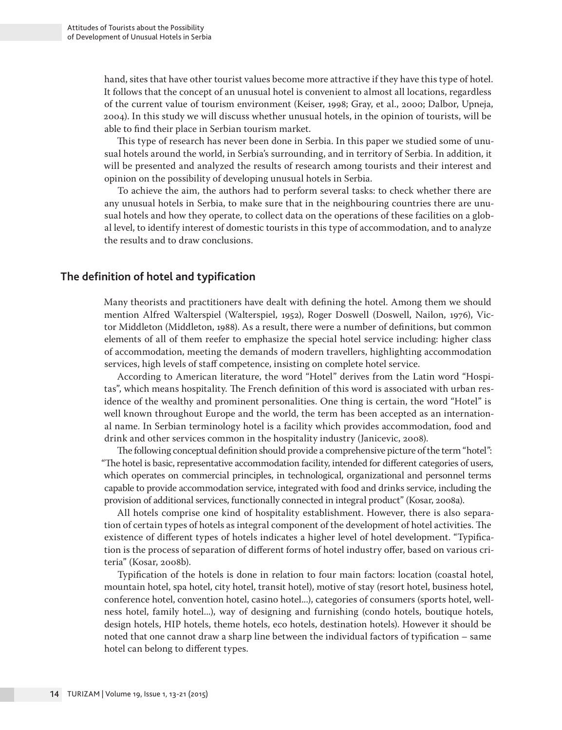hand, sites that have other tourist values become more attractive if they have this type of hotel. It follows that the concept of an unusual hotel is convenient to almost all locations, regardless of the current value of tourism environment (Keiser, 1998; Gray, et al., 2000; Dalbor, Upneja, 2004). In this study we will discuss whether unusual hotels, in the opinion of tourists, will be able to find their place in Serbian tourism market.

This type of research has never been done in Serbia. In this paper we studied some of unusual hotels around the world, in Serbia's surrounding, and in territory of Serbia. In addition, it will be presented and analyzed the results of research among tourists and their interest and opinion on the possibility of developing unusual hotels in Serbia.

To achieve the aim, the authors had to perform several tasks: to check whether there are any unusual hotels in Serbia, to make sure that in the neighbouring countries there are unusual hotels and how they operate, to collect data on the operations of these facilities on a global level, to identify interest of domestic tourists in this type of accommodation, and to analyze the results and to draw conclusions.

## **The definition of hotel and typification**

Many theorists and practitioners have dealt with defining the hotel. Among them we should mention Alfred Walterspiel (Walterspiel, 1952), Roger Doswell (Doswell, Nailon, 1976), Victor Middleton (Middleton, 1988). As a result, there were a number of definitions, but common elements of all of them reefer to emphasize the special hotel service including: higher class of accommodation, meeting the demands of modern travellers, highlighting accommodation services, high levels of staff competence, insisting on complete hotel service.

According to American literature, the word "Hotel" derives from the Latin word "Hospitas", which means hospitality. The French definition of this word is associated with urban residence of the wealthy and prominent personalities. One thing is certain, the word "Hotel" is well known throughout Europe and the world, the term has been accepted as an international name. In Serbian terminology hotel is a facility which provides accommodation, food and drink and other services common in the hospitality industry (Janicevic, 2008).

The following conceptual definition should provide a comprehensive picture of the term "hotel": "The hotel is basic, representative accommodation facility, intended for different categories of users, which operates on commercial principles, in technological, organizational and personnel terms capable to provide accommodation service, integrated with food and drinks service, including the provision of additional services, functionally connected in integral product" (Kosar, 2008a).

All hotels comprise one kind of hospitality establishment. However, there is also separation of certain types of hotels as integral component of the development of hotel activities. The existence of different types of hotels indicates a higher level of hotel development. "Typification is the process of separation of different forms of hotel industry offer, based on various criteria" (Kosar, 2008b).

Typification of the hotels is done in relation to four main factors: location (coastal hotel, mountain hotel, spa hotel, city hotel, transit hotel), motive of stay (resort hotel, business hotel, conference hotel, convention hotel, casino hotel...), categories of consumers (sports hotel, wellness hotel, family hotel...), way of designing and furnishing (condo hotels, boutique hotels, design hotels, HIP hotels, theme hotels, eco hotels, destination hotels). However it should be noted that one cannot draw a sharp line between the individual factors of typification – same hotel can belong to different types.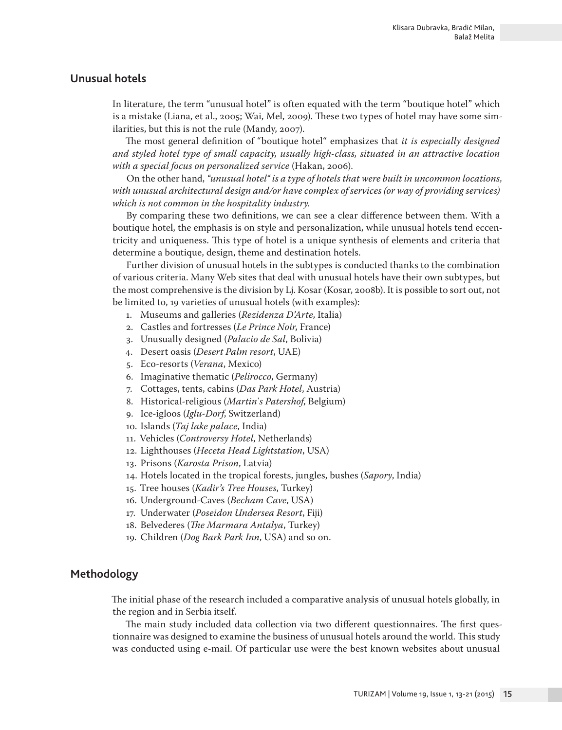## **Unusual hotels**

In literature, the term "unusual hotel" is often equated with the term "boutique hotel" which is a mistake (Liana, et al., 2005; Wai, Mel, 2009). These two types of hotel may have some similarities, but this is not the rule (Mandy, 2007).

The most general definition of "boutique hotel" emphasizes that *it is especially designed and styled hotel type of small capacity, usually high-class, situated in an attractive location with a special focus on personalized service* (Hakan, 2006).

On the other hand, *"unusual hotel" is a type of hotels that were built in uncommon locations, with unusual architectural design and/or have complex of services (or way of providing services) which is not common in the hospitality industry.*

By comparing these two definitions, we can see a clear difference between them. With a boutique hotel, the emphasis is on style and personalization, while unusual hotels tend eccentricity and uniqueness. This type of hotel is a unique synthesis of elements and criteria that determine a boutique, design, theme and destination hotels.

Further division of unusual hotels in the subtypes is conducted thanks to the combination of various criteria. Many Web sites that deal with unusual hotels have their own subtypes, but the most comprehensive is the division by Lj. Kosar (Kosar, 2008b). It is possible to sort out, not be limited to, 19 varieties of unusual hotels (with examples):

- 1. Museums and galleries (*Rezidenza D'Arte*, Italia)
- 2. Castles and fortresses (*Le Prince Noir*, France)
- 3. Unusually designed (*Palacio de Sal*, Bolivia)
- 4. Desert oasis (*Desert Palm resort*, UAE)
- 5. Eco-resorts (*Verana*, Mexico)
- 6. Imaginative thematic (*Pelirocco*, Germany)
- 7. Cottages, tents, cabins (*Das Park Hotel*, Austria)
- 8. Historical-religious (*Martin`s Patershof*, Belgium)
- 9. Ice-igloos (*Iglu-Dorf*, Switzerland)
- 10. Islands (*Taj lake palace*, India)
- 11. Vehicles (*Controversy Hotel*, Netherlands)
- 12. Lighthouses (*Heceta Head Lightstation*, USA)
- 13. Prisons (*Karosta Prison*, Latvia)
- 14. Hotels located in the tropical forests, jungles, bushes (*Sapory*, India)
- 15. Tree houses (*Kadir's Tree Houses*, Turkey)
- 16. Underground-Caves (*Becham Cave*, USA)
- 17. Underwater (*Poseidon Undersea Resort*, Fiji)
- 18. Belvederes (*The Marmara Antalya*, Turkey)
- 19. Children (*Dog Bark Park Inn*, USA) and so on.

## **Methodology**

The initial phase of the research included a comparative analysis of unusual hotels globally, in the region and in Serbia itself.

The main study included data collection via two different questionnaires. The first questionnaire was designed to examine the business of unusual hotels around the world. This study was conducted using e-mail. Of particular use were the best known websites about unusual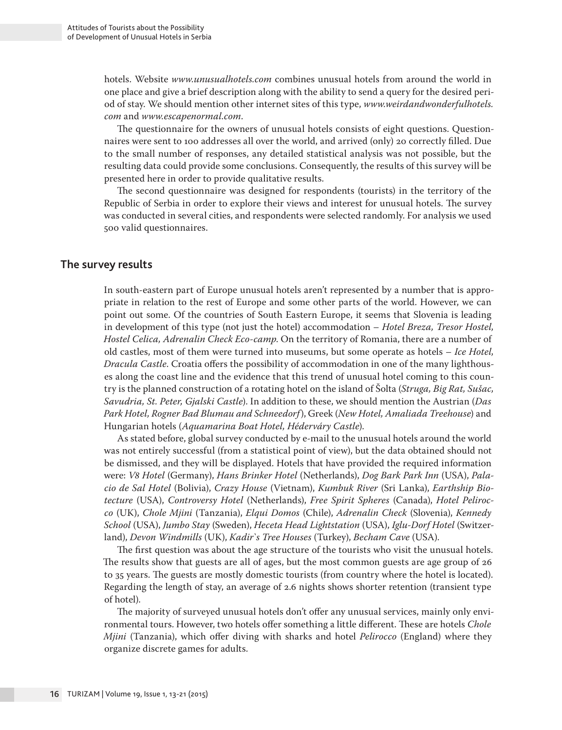hotels. Website *www.unusualhotels.com* combines unusual hotels from around the world in one place and give a brief description along with the ability to send a query for the desired period of stay. We should mention other internet sites of this type, *www.weirdandwonderfulhotels. com* and *www.escapenormal.com*.

The questionnaire for the owners of unusual hotels consists of eight questions. Questionnaires were sent to 100 addresses all over the world, and arrived (only) 20 correctly filled. Due to the small number of responses, any detailed statistical analysis was not possible, but the resulting data could provide some conclusions. Consequently, the results of this survey will be presented here in order to provide qualitative results.

The second questionnaire was designed for respondents (tourists) in the territory of the Republic of Serbia in order to explore their views and interest for unusual hotels. The survey was conducted in several cities, and respondents were selected randomly. For analysis we used 500 valid questionnaires.

#### **The survey results**

In south-eastern part of Europe unusual hotels aren't represented by a number that is appropriate in relation to the rest of Europe and some other parts of the world. However, we can point out some. Of the countries of South Eastern Europe, it seems that Slovenia is leading in development of this type (not just the hotel) accommodation – *Hotel Breza, Tresor Hostel, Hostel Celica, Adrenalin Check Eco-camp*. On the territory of Romania, there are a number of old castles, most of them were turned into museums, but some operate as hotels – *Ice Hotel, Dracula Castle*. Croatia offers the possibility of accommodation in one of the many lighthouses along the coast line and the evidence that this trend of unusual hotel coming to this country is the planned construction of a rotating hotel on the island of Šolta (*Struga, Big Rat, Sušac, Savudria, St. Peter, Gjalski Castle*). In addition to these, we should mention the Austrian (*Das Park Hotel, Rogner Bad Blumau and Schneedorf*), Greek (*New Hotel, Amaliada Treehouse*) and Hungarian hotels (*Aquamarina Boat Hotel, Héderváry Castle*).

As stated before, global survey conducted by e-mail to the unusual hotels around the world was not entirely successful (from a statistical point of view), but the data obtained should not be dismissed, and they will be displayed. Hotels that have provided the required information were: *V8 Hotel* (Germany), *Hans Brinker Hotel* (Netherlands), *Dog Bark Park Inn* (USA), *Palacio de Sal Hotel* (Bolivia), *Crazy House* (Vietnam), *Kumbuk River* (Sri Lanka), *Earthship Biotecture* (USA), *Controversy Hotel* (Netherlands), *Free Spirit Spheres* (Canada), *Hotel Pelirocco* (UK), *Chole Mjini* (Tanzania), *Elqui Domos* (Chile), *Adrenalin Check* (Slovenia), *Kennedy School* (USA), *Jumbo Stay* (Sweden), *Heceta Head Lightstation* (USA), *Iglu-Dorf Hotel* (Switzerland), *Devon Windmills* (UK), *Kadir`s Tree Houses* (Turkey), *Becham Cave* (USA).

The first question was about the age structure of the tourists who visit the unusual hotels. The results show that guests are all of ages, but the most common guests are age group of 26 to 35 years. The guests are mostly domestic tourists (from country where the hotel is located). Regarding the length of stay, an average of 2.6 nights shows shorter retention (transient type of hotel).

The majority of surveyed unusual hotels don't offer any unusual services, mainly only environmental tours. However, two hotels offer something a little different. These are hotels *Chole Mjini* (Tanzania), which offer diving with sharks and hotel *Pelirocco* (England) where they organize discrete games for adults.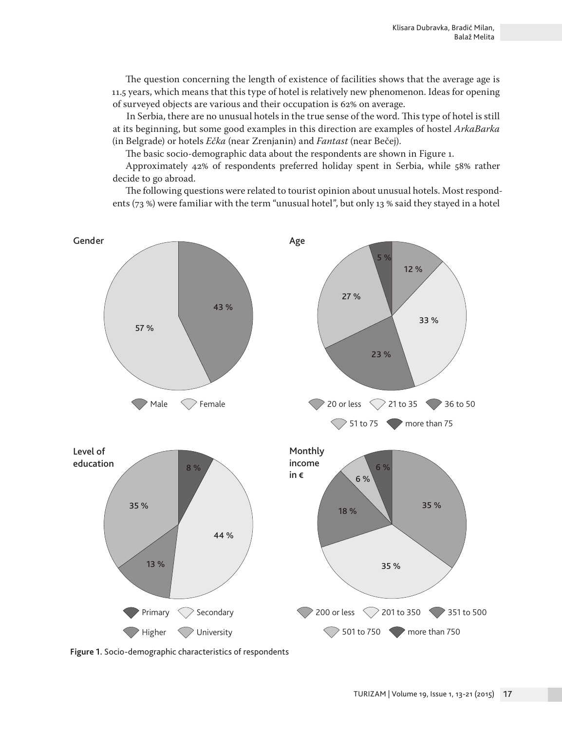The question concerning the length of existence of facilities shows that the average age is 11.5 years, which means that this type of hotel is relatively new phenomenon. Ideas for opening of surveyed objects are various and their occupation is 62% on average.

In Serbia, there are no unusual hotels in the true sense of the word. This type of hotel is still at its beginning, but some good examples in this direction are examples of hostel *ArkaBarka* (in Belgrade) or hotels *Ečka* (near Zrenjanin) and *Fantast* (near Bečej).

The basic socio-demographic data about the respondents are shown in Figure 1.

Approximately 42% of respondents preferred holiday spent in Serbia, while 58% rather decide to go abroad.

The following questions were related to tourist opinion about unusual hotels. Most respondents (73 %) were familiar with the term "unusual hotel", but only 13 % said they stayed in a hotel



**Figure 1.** Socio-demographic characteristics of respondents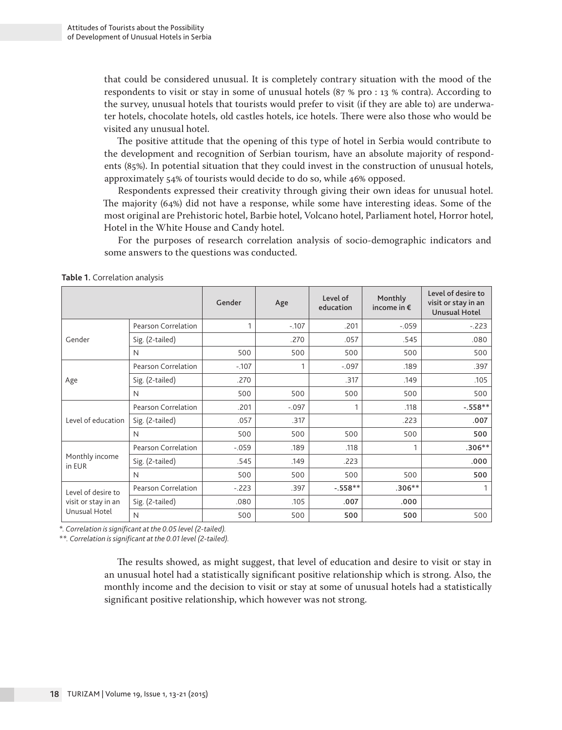that could be considered unusual. It is completely contrary situation with the mood of the respondents to visit or stay in some of unusual hotels (87 % pro : 13 % contra). According to the survey, unusual hotels that tourists would prefer to visit (if they are able to) are underwater hotels, chocolate hotels, old castles hotels, ice hotels. There were also those who would be visited any unusual hotel.

The positive attitude that the opening of this type of hotel in Serbia would contribute to the development and recognition of Serbian tourism, have an absolute majority of respondents (85%). In potential situation that they could invest in the construction of unusual hotels, approximately 54% of tourists would decide to do so, while 46% opposed.

Respondents expressed their creativity through giving their own ideas for unusual hotel. The majority (64%) did not have a response, while some have interesting ideas. Some of the most original are Prehistoric hotel, Barbie hotel, Volcano hotel, Parliament hotel, Horror hotel, Hotel in the White House and Candy hotel.

For the purposes of research correlation analysis of socio-demographic indicators and some answers to the questions was conducted.

|                                                            |                     | Gender  | Age     | Level of<br>education | Monthly<br>income in $\epsilon$ | Level of desire to<br>visit or stay in an<br><b>Unusual Hotel</b> |
|------------------------------------------------------------|---------------------|---------|---------|-----------------------|---------------------------------|-------------------------------------------------------------------|
| Gender                                                     | Pearson Correlation | 1       | $-107$  | .201                  | $-.059$                         | $-.223$                                                           |
|                                                            | Sig. (2-tailed)     |         | .270    | .057                  | .545                            | .080                                                              |
|                                                            | N                   | 500     | 500     | 500                   | 500                             | 500                                                               |
| Age                                                        | Pearson Correlation | $-107$  |         | $-.097$               | .189                            | .397                                                              |
|                                                            | Sig. (2-tailed)     | .270    |         | .317                  | .149                            | .105                                                              |
|                                                            | N                   | 500     | 500     | 500                   | 500                             | 500                                                               |
| Level of education                                         | Pearson Correlation | .201    | $-.097$ | 1                     | .118                            | $-.558**$                                                         |
|                                                            | Sig. (2-tailed)     | .057    | .317    |                       | .223                            | .007                                                              |
|                                                            | N                   | 500     | 500     | 500                   | 500                             | 500                                                               |
| Monthly income<br>in EUR                                   | Pearson Correlation | $-.059$ | .189    | .118                  |                                 | $.306**$                                                          |
|                                                            | Sig. (2-tailed)     | .545    | .149    | .223                  |                                 | .000                                                              |
|                                                            | N                   | 500     | 500     | 500                   | 500                             | 500                                                               |
| Level of desire to<br>visit or stay in an<br>Unusual Hotel | Pearson Correlation | $-.223$ | .397    | $-.558**$             | $.306**$                        |                                                                   |
|                                                            | Sig. (2-tailed)     | .080    | .105    | .007                  | .000                            |                                                                   |
|                                                            | N                   | 500     | 500     | 500                   | 500                             | 500                                                               |

**Table 1.** Correlation analysis

*\*. Correlation is significant at the 0.05 level (2-tailed).*

*\*\*. Correlation is significant at the 0.01 level (2-tailed).*

The results showed, as might suggest, that level of education and desire to visit or stay in an unusual hotel had a statistically significant positive relationship which is strong. Also, the monthly income and the decision to visit or stay at some of unusual hotels had a statistically significant positive relationship, which however was not strong.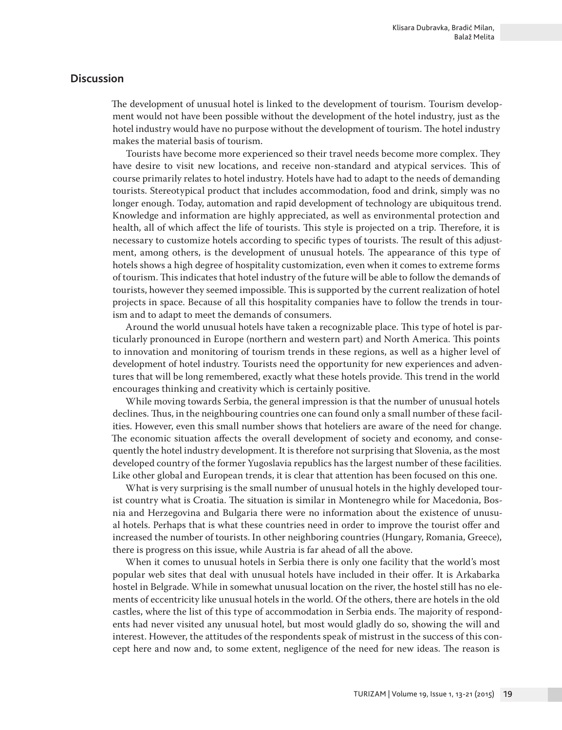# **Discussion**

The development of unusual hotel is linked to the development of tourism. Tourism development would not have been possible without the development of the hotel industry, just as the hotel industry would have no purpose without the development of tourism. The hotel industry makes the material basis of tourism.

Tourists have become more experienced so their travel needs become more complex. They have desire to visit new locations, and receive non-standard and atypical services. This of course primarily relates to hotel industry. Hotels have had to adapt to the needs of demanding tourists. Stereotypical product that includes accommodation, food and drink, simply was no longer enough. Today, automation and rapid development of technology are ubiquitous trend. Knowledge and information are highly appreciated, as well as environmental protection and health, all of which affect the life of tourists. This style is projected on a trip. Therefore, it is necessary to customize hotels according to specific types of tourists. The result of this adjustment, among others, is the development of unusual hotels. The appearance of this type of hotels shows a high degree of hospitality customization, even when it comes to extreme forms of tourism. This indicates that hotel industry of the future will be able to follow the demands of tourists, however they seemed impossible. This is supported by the current realization of hotel projects in space. Because of all this hospitality companies have to follow the trends in tourism and to adapt to meet the demands of consumers.

Around the world unusual hotels have taken a recognizable place. This type of hotel is particularly pronounced in Europe (northern and western part) and North America. This points to innovation and monitoring of tourism trends in these regions, as well as a higher level of development of hotel industry. Tourists need the opportunity for new experiences and adventures that will be long remembered, exactly what these hotels provide. This trend in the world encourages thinking and creativity which is certainly positive.

While moving towards Serbia, the general impression is that the number of unusual hotels declines. Thus, in the neighbouring countries one can found only a small number of these facilities. However, even this small number shows that hoteliers are aware of the need for change. The economic situation affects the overall development of society and economy, and consequently the hotel industry development. It is therefore not surprising that Slovenia, as the most developed country of the former Yugoslavia republics has the largest number of these facilities. Like other global and European trends, it is clear that attention has been focused on this one.

What is very surprising is the small number of unusual hotels in the highly developed tourist country what is Croatia. The situation is similar in Montenegro while for Macedonia, Bosnia and Herzegovina and Bulgaria there were no information about the existence of unusual hotels. Perhaps that is what these countries need in order to improve the tourist offer and increased the number of tourists. In other neighboring countries (Hungary, Romania, Greece), there is progress on this issue, while Austria is far ahead of all the above.

When it comes to unusual hotels in Serbia there is only one facility that the world's most popular web sites that deal with unusual hotels have included in their offer. It is Arkabarka hostel in Belgrade. While in somewhat unusual location on the river, the hostel still has no elements of eccentricity like unusual hotels in the world. Of the others, there are hotels in the old castles, where the list of this type of accommodation in Serbia ends. The majority of respondents had never visited any unusual hotel, but most would gladly do so, showing the will and interest. However, the attitudes of the respondents speak of mistrust in the success of this concept here and now and, to some extent, negligence of the need for new ideas. The reason is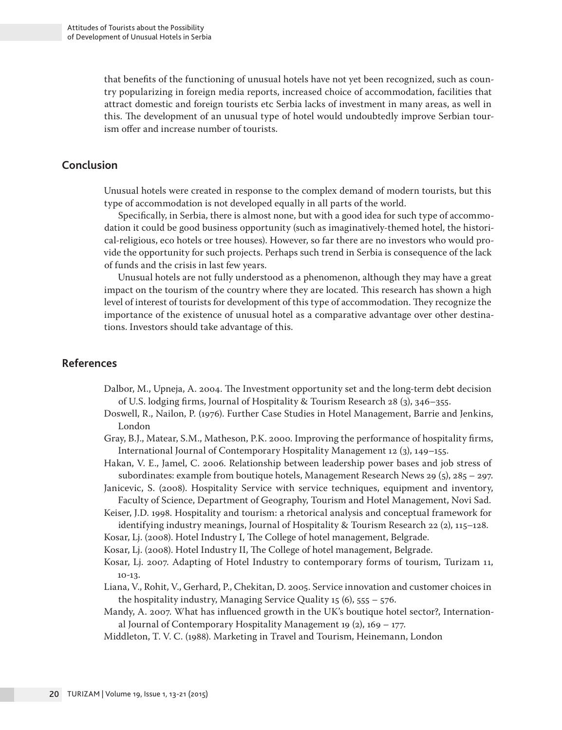that benefits of the functioning of unusual hotels have not yet been recognized, such as country popularizing in foreign media reports, increased choice of accommodation, facilities that attract domestic and foreign tourists etc Serbia lacks of investment in many areas, as well in this. The development of an unusual type of hotel would undoubtedly improve Serbian tourism offer and increase number of tourists.

# **Conclusion**

Unusual hotels were created in response to the complex demand of modern tourists, but this type of accommodation is not developed equally in all parts of the world.

Specifically, in Serbia, there is almost none, but with a good idea for such type of accommodation it could be good business opportunity (such as imaginatively-themed hotel, the historical-religious, eco hotels or tree houses). However, so far there are no investors who would provide the opportunity for such projects. Perhaps such trend in Serbia is consequence of the lack of funds and the crisis in last few years.

Unusual hotels are not fully understood as a phenomenon, although they may have a great impact on the tourism of the country where they are located. This research has shown a high level of interest of tourists for development of this type of accommodation. They recognize the importance of the existence of unusual hotel as a comparative advantage over other destinations. Investors should take advantage of this.

# **References**

- Dalbor, M., Upneja, A. 2004. The Investment opportunity set and the long-term debt decision of U.S. lodging firms, Journal of Hospitality & Tourism Research 28 (3), 346–355.
- Doswell, R., Nailon, P. (1976). Further Case Studies in Hotel Management, Barrie and Jenkins, London
- Gray, B.J., Matear, S.M., Matheson, P.K. 2000. Improving the performance of hospitality firms, International Journal of Contemporary Hospitality Management 12 (3), 149–155.
- Hakan, V. E., Jamel, C. 2006. Relationship between leadership power bases and job stress of subordinates: example from boutique hotels, Management Research News 29 (5), 285 – 297.
- Janicevic, S. (2008). Hospitality Service with service techniques, equipment and inventory, Faculty of Science, Department of Geography, Tourism and Hotel Management, Novi Sad.
- Keiser, J.D. 1998. Hospitality and tourism: a rhetorical analysis and conceptual framework for identifying industry meanings, Journal of Hospitality & Tourism Research 22  $(2)$ , 115–128.
- Kosar, Lj. (2008). Hotel Industry I, The College of hotel management, Belgrade.
- Kosar, Lj. (2008). Hotel Industry II, The College of hotel management, Belgrade.
- Kosar, Lj. 2007. Adapting of Hotel Industry to contemporary forms of tourism, Turizam 11, 10-13.
- Liana, V., Rohit, V., Gerhard, P., Chekitan, D. 2005. Service innovation and customer choices in the hospitality industry, Managing Service Quality  $15(6)$ ,  $555 - 576$ .
- Mandy, A. 2007. What has influenced growth in the UK's boutique hotel sector?, International Journal of Contemporary Hospitality Management 19  $(2)$ , 169 – 177.
- Middleton, T. V. C. (1988). Marketing in Travel and Tourism, Heinemann, London